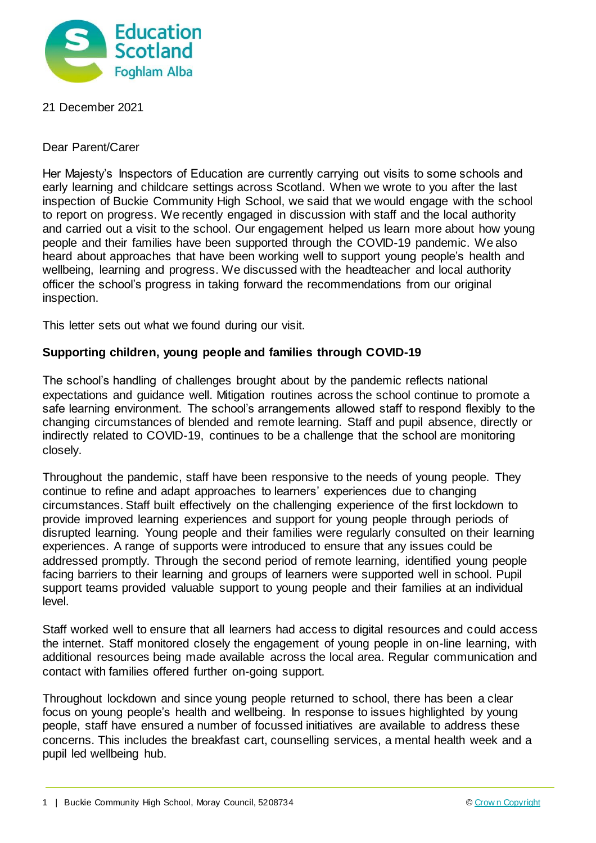

## 21 December 2021

Dear Parent/Carer

Her Majesty's Inspectors of Education are currently carrying out visits to some schools and early learning and childcare settings across Scotland. When we wrote to you after the last inspection of Buckie Community High School, we said that we would engage with the school to report on progress. We recently engaged in discussion with staff and the local authority and carried out a visit to the school. Our engagement helped us learn more about how young people and their families have been supported through the COVID-19 pandemic. We also heard about approaches that have been working well to support young people's health and wellbeing, learning and progress. We discussed with the headteacher and local authority officer the school's progress in taking forward the recommendations from our original inspection.

This letter sets out what we found during our visit.

## **Supporting children, young people and families through COVID-19**

The school's handling of challenges brought about by the pandemic reflects national expectations and guidance well. Mitigation routines across the school continue to promote a safe learning environment. The school's arrangements allowed staff to respond flexibly to the changing circumstances of blended and remote learning. Staff and pupil absence, directly or indirectly related to COVID-19, continues to be a challenge that the school are monitoring closely.

Throughout the pandemic, staff have been responsive to the needs of young people. They continue to refine and adapt approaches to learners' experiences due to changing circumstances. Staff built effectively on the challenging experience of the first lockdown to provide improved learning experiences and support for young people through periods of disrupted learning. Young people and their families were regularly consulted on their learning experiences. A range of supports were introduced to ensure that any issues could be addressed promptly. Through the second period of remote learning, identified young people facing barriers to their learning and groups of learners were supported well in school. Pupil support teams provided valuable support to young people and their families at an individual level.

Staff worked well to ensure that all learners had access to digital resources and could access the internet. Staff monitored closely the engagement of young people in on-line learning, with additional resources being made available across the local area. Regular communication and contact with families offered further on-going support.

Throughout lockdown and since young people returned to school, there has been a clear focus on young people's health and wellbeing. In response to issues highlighted by young people, staff have ensured a number of focussed initiatives are available to address these concerns. This includes the breakfast cart, counselling services, a mental health week and a pupil led wellbeing hub.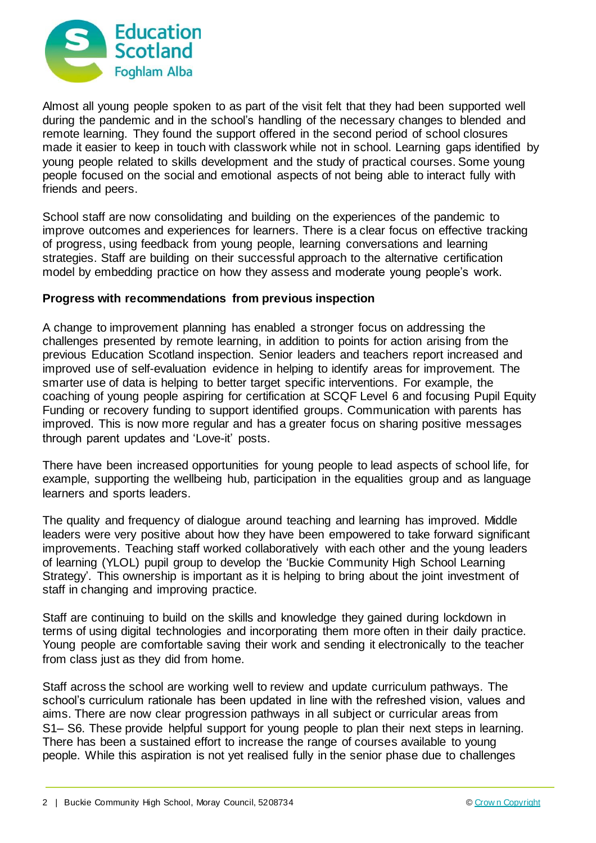

Almost all young people spoken to as part of the visit felt that they had been supported well during the pandemic and in the school's handling of the necessary changes to blended and remote learning. They found the support offered in the second period of school closures made it easier to keep in touch with classwork while not in school. Learning gaps identified by young people related to skills development and the study of practical courses. Some young people focused on the social and emotional aspects of not being able to interact fully with friends and peers.

School staff are now consolidating and building on the experiences of the pandemic to improve outcomes and experiences for learners. There is a clear focus on effective tracking of progress, using feedback from young people, learning conversations and learning strategies. Staff are building on their successful approach to the alternative certification model by embedding practice on how they assess and moderate young people's work.

## **Progress with recommendations from previous inspection**

A change to improvement planning has enabled a stronger focus on addressing the challenges presented by remote learning, in addition to points for action arising from the previous Education Scotland inspection. Senior leaders and teachers report increased and improved use of self-evaluation evidence in helping to identify areas for improvement. The smarter use of data is helping to better target specific interventions. For example, the coaching of young people aspiring for certification at SCQF Level 6 and focusing Pupil Equity Funding or recovery funding to support identified groups. Communication with parents has improved. This is now more regular and has a greater focus on sharing positive messages through parent updates and 'Love-it' posts.

There have been increased opportunities for young people to lead aspects of school life, for example, supporting the wellbeing hub, participation in the equalities group and as language learners and sports leaders.

The quality and frequency of dialogue around teaching and learning has improved. Middle leaders were very positive about how they have been empowered to take forward significant improvements. Teaching staff worked collaboratively with each other and the young leaders of learning (YLOL) pupil group to develop the 'Buckie Community High School Learning Strategy'. This ownership is important as it is helping to bring about the joint investment of staff in changing and improving practice.

Staff are continuing to build on the skills and knowledge they gained during lockdown in terms of using digital technologies and incorporating them more often in their daily practice. Young people are comfortable saving their work and sending it electronically to the teacher from class just as they did from home.

Staff across the school are working well to review and update curriculum pathways. The school's curriculum rationale has been updated in line with the refreshed vision, values and aims. There are now clear progression pathways in all subject or curricular areas from S1– S6. These provide helpful support for young people to plan their next steps in learning. There has been a sustained effort to increase the range of courses available to young people. While this aspiration is not yet realised fully in the senior phase due to challenges